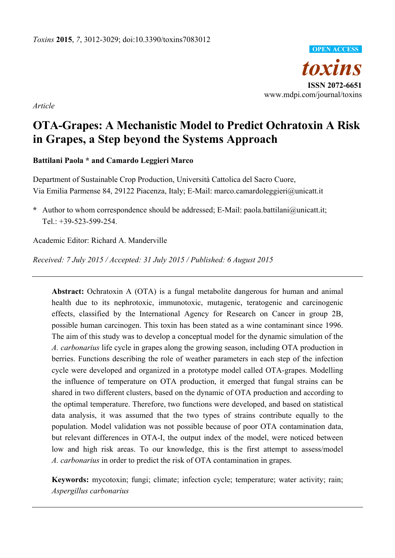*toxins*  **ISSN 2072-6651**  www.mdpi.com/journal/toxins **OPEN ACCESS**

*Article* 

# **OTA-Grapes: A Mechanistic Model to Predict Ochratoxin A Risk in Grapes, a Step beyond the Systems Approach**

**Battilani Paola \* and Camardo Leggieri Marco** 

Department of Sustainable Crop Production, Università Cattolica del Sacro Cuore, Via Emilia Parmense 84, 29122 Piacenza, Italy; E-Mail: marco.camardoleggieri@unicatt.it

**\*** Author to whom correspondence should be addressed; E-Mail: paola.battilani@unicatt.it; Tel.: +39-523-599-254.

Academic Editor: Richard A. Manderville

*Received: 7 July 2015 / Accepted: 31 July 2015 / Published: 6 August 2015* 

**Abstract:** Ochratoxin A (OTA) is a fungal metabolite dangerous for human and animal health due to its nephrotoxic, immunotoxic, mutagenic, teratogenic and carcinogenic effects, classified by the International Agency for Research on Cancer in group 2B, possible human carcinogen. This toxin has been stated as a wine contaminant since 1996. The aim of this study was to develop a conceptual model for the dynamic simulation of the *A. carbonarius* life cycle in grapes along the growing season, including OTA production in berries. Functions describing the role of weather parameters in each step of the infection cycle were developed and organized in a prototype model called OTA-grapes. Modelling the influence of temperature on OTA production, it emerged that fungal strains can be shared in two different clusters, based on the dynamic of OTA production and according to the optimal temperature. Therefore, two functions were developed, and based on statistical data analysis, it was assumed that the two types of strains contribute equally to the population. Model validation was not possible because of poor OTA contamination data, but relevant differences in OTA-I, the output index of the model, were noticed between low and high risk areas. To our knowledge, this is the first attempt to assess/model *A. carbonarius* in order to predict the risk of OTA contamination in grapes.

**Keywords:** mycotoxin; fungi; climate; infection cycle; temperature; water activity; rain; *Aspergillus carbonarius*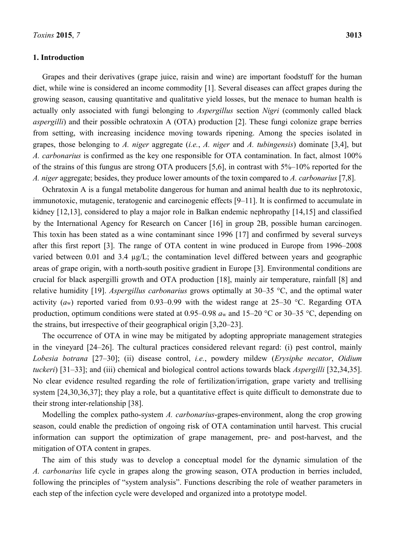## **1. Introduction**

Grapes and their derivatives (grape juice, raisin and wine) are important foodstuff for the human diet, while wine is considered an income commodity [1]. Several diseases can affect grapes during the growing season, causing quantitative and qualitative yield losses, but the menace to human health is actually only associated with fungi belonging to *Aspergillus* section *Nigri* (commonly called black *aspergilli*) and their possible ochratoxin A (OTA) production [2]. These fungi colonize grape berries from setting, with increasing incidence moving towards ripening. Among the species isolated in grapes, those belonging to *A. niger* aggregate (*i.e.*, *A. niger* and *A. tubingensis*) dominate [3,4], but *A. carbonarius* is confirmed as the key one responsible for OTA contamination. In fact, almost 100% of the strains of this fungus are strong OTA producers [5,6], in contrast with 5%–10% reported for the *A. niger* aggregate; besides, they produce lower amounts of the toxin compared to *A. carbonarius* [7,8].

Ochratoxin A is a fungal metabolite dangerous for human and animal health due to its nephrotoxic, immunotoxic, mutagenic, teratogenic and carcinogenic effects [9–11]. It is confirmed to accumulate in kidney [12,13], considered to play a major role in Balkan endemic nephropathy [14,15] and classified by the International Agency for Research on Cancer [16] in group 2B, possible human carcinogen. This toxin has been stated as a wine contaminant since 1996 [17] and confirmed by several surveys after this first report [3]. The range of OTA content in wine produced in Europe from 1996–2008 varied between 0.01 and 3.4 µg/L; the contamination level differed between years and geographic areas of grape origin, with a north-south positive gradient in Europe [3]. Environmental conditions are crucial for black aspergilli growth and OTA production [18], mainly air temperature, rainfall [8] and relative humidity [19]. *Aspergillus carbonarius* grows optimally at 30–35 °C, and the optimal water activity  $(a_w)$  reported varied from 0.93–0.99 with the widest range at 25–30 °C. Regarding OTA production, optimum conditions were stated at 0.95–0.98 *a*w and 15–20 °C or 30–35 °C, depending on the strains, but irrespective of their geographical origin [3,20–23].

The occurrence of OTA in wine may be mitigated by adopting appropriate management strategies in the vineyard [24–26]. The cultural practices considered relevant regard: (i) pest control, mainly *Lobesia botrana* [27–30]; (ii) disease control, *i.e.*, powdery mildew (*Erysiphe necator*, *Oidium tuckeri*) [31–33]; and (iii) chemical and biological control actions towards black *Aspergilli* [32,34,35]. No clear evidence resulted regarding the role of fertilization/irrigation, grape variety and trellising system [24,30,36,37]; they play a role, but a quantitative effect is quite difficult to demonstrate due to their strong inter-relationship [38].

Modelling the complex patho-system *A. carbonarius*-grapes-environment, along the crop growing season, could enable the prediction of ongoing risk of OTA contamination until harvest. This crucial information can support the optimization of grape management, pre- and post-harvest, and the mitigation of OTA content in grapes.

The aim of this study was to develop a conceptual model for the dynamic simulation of the *A. carbonarius* life cycle in grapes along the growing season, OTA production in berries included, following the principles of "system analysis". Functions describing the role of weather parameters in each step of the infection cycle were developed and organized into a prototype model.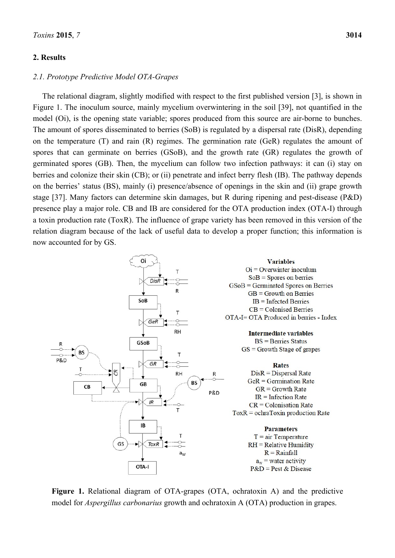# **2. Results**

# *2.1. Prototype Predictive Model OTA-Grapes*

The relational diagram, slightly modified with respect to the first published version [3], is shown in Figure 1. The inoculum source, mainly mycelium overwintering in the soil [39], not quantified in the model (Oi), is the opening state variable; spores produced from this source are air-borne to bunches. The amount of spores disseminated to berries (SoB) is regulated by a dispersal rate (DisR), depending on the temperature (T) and rain (R) regimes. The germination rate (GeR) regulates the amount of spores that can germinate on berries (GSoB), and the growth rate (GR) regulates the growth of germinated spores (GB). Then, the mycelium can follow two infection pathways: it can (i) stay on berries and colonize their skin (CB); or (ii) penetrate and infect berry flesh (IB). The pathway depends on the berries' status (BS), mainly (i) presence/absence of openings in the skin and (ii) grape growth stage [37]. Many factors can determine skin damages, but R during ripening and pest-disease (P&D) presence play a major role. CB and IB are considered for the OTA production index (OTA-I) through a toxin production rate (ToxR). The influence of grape variety has been removed in this version of the relation diagram because of the lack of useful data to develop a proper function; this information is now accounted for by GS.



**Figure 1.** Relational diagram of OTA-grapes (OTA, ochratoxin A) and the predictive model for *Aspergillus carbonarius* growth and ochratoxin A (OTA) production in grapes.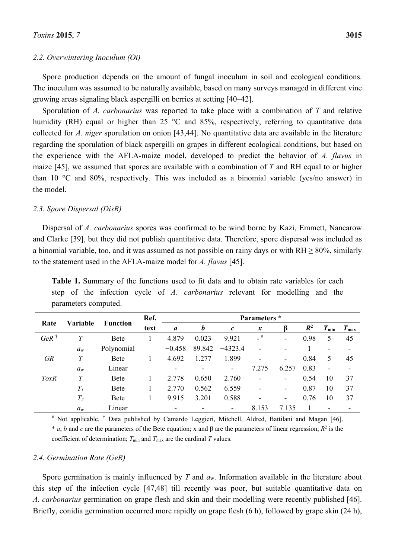## *2.2. Overwintering Inoculum (Oi)*

Spore production depends on the amount of fungal inoculum in soil and ecological conditions. The inoculum was assumed to be naturally available, based on many surveys managed in different vine growing areas signaling black aspergilli on berries at setting [40–42].

Sporulation of *A. carbonarius* was reported to take place with a combination of *T* and relative humidity (RH) equal or higher than 25 °C and 85%, respectively, referring to quantitative data collected for *A. niger* sporulation on onion [43,44]. No quantitative data are available in the literature regarding the sporulation of black aspergilli on grapes in different ecological conditions, but based on the experience with the AFLA-maize model, developed to predict the behavior of *A. flavus* in maize [45], we assumed that spores are available with a combination of *T* and RH equal to or higher than 10 °C and 80%, respectively. This was included as a binomial variable (yes/no answer) in the model.

## *2.3. Spore Dispersal (DisR)*

Dispersal of *A. carbonarius* spores was confirmed to be wind borne by Kazi, Emmett, Nancarow and Clarke [39], but they did not publish quantitative data. Therefore, spore dispersal was included as a binomial variable, too, and it was assumed as not possible on rainy days or with  $RH > 80\%$ , similarly to the statement used in the AFLA-maize model for *A. flavus* [45].

|                 | Variable | <b>Function</b> | Ref.<br>text | Parameters *  |                  |                   |                          |                          |       |                          |               |
|-----------------|----------|-----------------|--------------|---------------|------------------|-------------------|--------------------------|--------------------------|-------|--------------------------|---------------|
| Rate            |          |                 |              | $\mathfrak a$ | $\boldsymbol{b}$ | $\mathcal{C}_{0}$ | $\boldsymbol{x}$         | B                        | $R^2$ | $T_{\min}$               | $T_{\rm max}$ |
| $GeR^{\dagger}$ | T        | <b>Bete</b>     |              | 4.879         | 0.023            | 9.921             | $-$ #                    | ۰                        | 0.98  | 5                        | 45            |
|                 | $a_w$    | Polynomial      |              | $-0.458$      | 89.842           | $-4323.4$         | $\overline{\phantom{0}}$ | $\overline{\phantom{0}}$ |       |                          | ۰             |
| <b>GR</b>       | T        | <b>Bete</b>     |              | 4.692         | 1.277            | 1.899             |                          | $\overline{\phantom{a}}$ | 0.84  | 5                        | 45            |
|                 | $a_w$    | Linear          |              |               | -                | ۰                 | 7.275                    | $-6.257$                 | 0.83  | $\overline{\phantom{0}}$ | ۰             |
| <i>ToxR</i>     | T        | <b>Bete</b>     |              | 2.778         | 0.650            | 2.760             |                          | $\overline{\phantom{a}}$ | 0.54  | 10                       | 37            |
|                 | $T_I$    | <b>Bete</b>     |              | 2.770         | 0.562            | 6.559             |                          | $\overline{\phantom{a}}$ | 0.87  | 10                       | 37            |
|                 | $T_2$    | <b>Bete</b>     |              | 9.915         | 3.201            | 0.588             |                          | $\overline{\phantom{a}}$ | 0.76  | 10                       | 37            |
|                 | $a_w$    | Linear          |              | -             | ۰                | ۰                 | 8.153                    | $-7.135$                 |       |                          | ۰             |

**Table 1.** Summary of the functions used to fit data and to obtain rate variables for each step of the infection cycle of *A. carbonarius* relevant for modelling and the parameters computed.

# Not applicable. † Data published by Camardo Leggieri, Mitchell, Aldred, Battilani and Magan [46].  $* a$ , *b* and *c* are the parameters of the Bete equation; x and  $\beta$  are the parameters of linear regression;  $R^2$  is the coefficient of determination;  $T_{\text{min}}$  and  $T_{\text{max}}$  are the cardinal  $T$  values.

#### *2.4. Germination Rate (GeR)*

Spore germination is mainly influenced by *T* and *a*w. Information available in the literature about this step of the infection cycle [47,48] till recently was poor, but suitable quantitative data on *A. carbonarius* germination on grape flesh and skin and their modelling were recently published [46]. Briefly, conidia germination occurred more rapidly on grape flesh (6 h), followed by grape skin (24 h),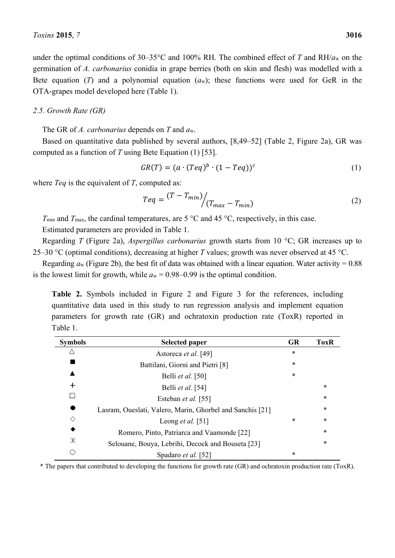# *2.5. Growth Rate (GR)*

The GR of *A. carbonarius* depends on *T* and *a*w.

Based on quantitative data published by several authors, [8,49–52] (Table 2, Figure 2a), GR was computed as a function of *T* using Bete Equation (1) [53].

$$
GR(T) = (a \cdot (Teq)^b \cdot (1 - Teq))^c \tag{1}
$$

where *Teq* is the equivalent of *T*, computed as:

OTA-grapes model developed here (Table 1).

$$
Teq = \frac{(T - T_{min})}{(T_{max} - T_{min})}
$$
\n(2)

*T*<sub>min</sub> and *T*<sub>max</sub>, the cardinal temperatures, are 5 °C and 45 °C, respectively, in this case. Estimated parameters are provided in Table 1.

Regarding *T* (Figure 2a), *Aspergillus carbonarius* growth starts from 10 °C; GR increases up to 25–30 °C (optimal conditions), decreasing at higher *T* values; growth was never observed at 45 °C.

Regarding  $a_w$  (Figure 2b), the best fit of data was obtained with a linear equation. Water activity = 0.88 is the lowest limit for growth, while  $a_w = 0.98{\text -}0.99$  is the optimal condition.

**Table 2.** Symbols included in Figure 2 and Figure 3 for the references, including quantitative data used in this study to run regression analysis and implement equation parameters for growth rate (GR) and ochratoxin production rate (ToxR) reported in Table 1.

| <b>Symbols</b> | <b>Selected paper</b>                                     | <b>GR</b> | <b>ToxR</b> |
|----------------|-----------------------------------------------------------|-----------|-------------|
|                | Astoreca et al. [49]                                      | $\ast$    |             |
|                | Battilani, Giorni and Pietri [8]                          | *         |             |
|                | Belli et al. [50]                                         | *         |             |
| ┿              | Belli et al. [54]                                         |           | *           |
|                | Esteban et al. [55]                                       |           | *           |
|                | Lasram, Oueslati, Valero, Marin, Ghorbel and Sanchis [21] |           | *           |
| ◇              | Leong <i>et al.</i> [51]                                  | *         | $\ast$      |
| ◆              | Romero, Pinto, Patriarca and Vaamonde [22]                |           | *           |
| Ж              | Selouane, Bouya, Lebrihi, Decock and Bouseta [23]         |           | *           |
|                | Spadaro et al. [52]                                       | *         |             |

\* The papers that contributed to developing the functions for growth rate (GR) and ochratoxin production rate (ToxR).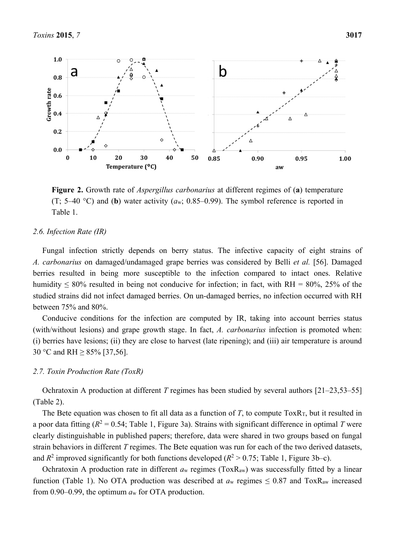

**Figure 2.** Growth rate of *Aspergillus carbonarius* at different regimes of (**a**) temperature (T; 5–40 °C) and (**b**) water activity (*a*w; 0.85–0.99). The symbol reference is reported in Table 1.

# *2.6. Infection Rate (IR)*

Fungal infection strictly depends on berry status. The infective capacity of eight strains of *A. carbonarius* on damaged/undamaged grape berries was considered by Belli *et al.* [56]. Damaged berries resulted in being more susceptible to the infection compared to intact ones. Relative humidity  $\leq 80\%$  resulted in being not conducive for infection; in fact, with RH = 80%, 25% of the studied strains did not infect damaged berries. On un-damaged berries, no infection occurred with RH between 75% and 80%.

Conducive conditions for the infection are computed by IR, taking into account berries status (with/without lesions) and grape growth stage. In fact, *A. carbonarius* infection is promoted when: (i) berries have lesions; (ii) they are close to harvest (late ripening); and (iii) air temperature is around 30 °C and RH ≥ 85% [37,56].

## *2.7. Toxin Production Rate (ToxR)*

Ochratoxin A production at different *T* regimes has been studied by several authors [21–23,53–55] (Table 2).

The Bete equation was chosen to fit all data as a function of  $T$ , to compute Tox $R_T$ , but it resulted in a poor data fitting ( $R^2 = 0.54$ ; Table 1, Figure 3a). Strains with significant difference in optimal *T* were clearly distinguishable in published papers; therefore, data were shared in two groups based on fungal strain behaviors in different *T* regimes. The Bete equation was run for each of the two derived datasets, and  $R^2$  improved significantly for both functions developed ( $R^2 > 0.75$ ; Table 1, Figure 3b–c).

Ochratoxin A production rate in different *a*w regimes (ToxRaw) was successfully fitted by a linear function (Table 1). No OTA production was described at  $a_w$  regimes  $\leq 0.87$  and ToxR<sub>aw</sub> increased from 0.90–0.99, the optimum *a*w for OTA production.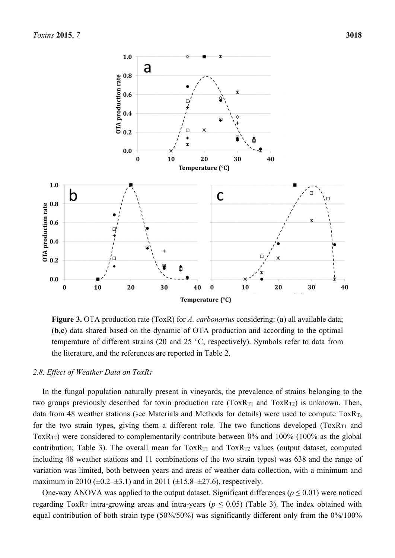

**Figure 3.** OTA production rate (ToxR) for *A. carbonarius* considering: (**a**) all available data; (**b**,**c**) data shared based on the dynamic of OTA production and according to the optimal temperature of different strains (20 and 25 °C, respectively). Symbols refer to data from the literature, and the references are reported in Table 2.

## *2.8. Effect of Weather Data on ToxRT*

In the fungal population naturally present in vineyards, the prevalence of strains belonging to the two groups previously described for toxin production rate  $(ToxR_{T1}$  and  $ToxR_{T2})$  is unknown. Then, data from 48 weather stations (see Materials and Methods for details) were used to compute  $ToxR<sub>T</sub>$ , for the two strain types, giving them a different role. The two functions developed  $(ToxR<sub>T1</sub>$  and ToxR<sub>T2</sub>) were considered to complementarily contribute between 0% and 100% (100% as the global contribution; Table 3). The overall mean for  $ToxR_{T1}$  and  $ToxR_{T2}$  values (output dataset, computed including 48 weather stations and 11 combinations of the two strain types) was 638 and the range of variation was limited, both between years and areas of weather data collection, with a minimum and maximum in 2010 ( $\pm 0.2 \pm 3.1$ ) and in 2011 ( $\pm 15.8 \pm 27.6$ ), respectively.

One-way ANOVA was applied to the output dataset. Significant differences ( $p \le 0.01$ ) were noticed regarding ToxR<sub>T</sub> intra-growing areas and intra-years ( $p \le 0.05$ ) (Table 3). The index obtained with equal contribution of both strain type (50%/50%) was significantly different only from the 0%/100%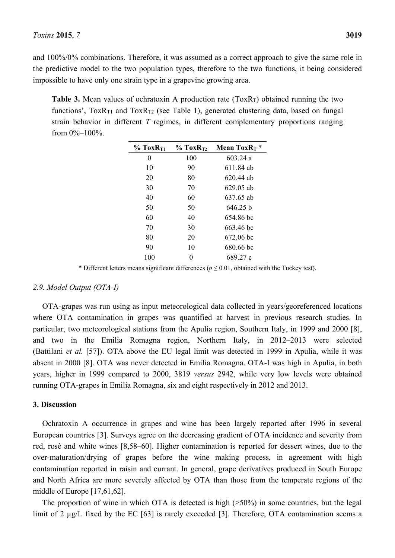and 100%/0% combinations. Therefore, it was assumed as a correct approach to give the same role in the predictive model to the two population types, therefore to the two functions, it being considered impossible to have only one strain type in a grapevine growing area.

**Table 3.** Mean values of ochratoxin A production rate (ToxR<sub>T</sub>) obtained running the two functions',  $ToxR_{T1}$  and  $ToxR_{T2}$  (see Table 1), generated clustering data, based on fungal strain behavior in different *T* regimes, in different complementary proportions ranging from  $0\%-100\%$ .

| $%$ ToxR <sub>T1</sub> | $\%$ ToxR <sub>T2</sub> | Mean Tox $R_T$ * |
|------------------------|-------------------------|------------------|
| $\theta$               | 100                     | 60324a           |
| 10                     | 90                      | 611 84 ab        |
| 20                     | 80                      | $620.44$ ab      |
| 30                     | 70                      | 629.05 ab        |
| 40                     | 60                      | 637.65 ab        |
| 50                     | 50                      | 646 25 h         |
| 60                     | 40                      | 654.86 bc        |
| 70                     | 30                      | 663.46 bc        |
| 80                     | 20                      | 672.06 bc        |
| 90                     | 10                      | 680.66 bc        |
| 100                    | 0                       | 689.27 c         |

\* Different letters means significant differences ( $p \le 0.01$ , obtained with the Tuckey test).

# *2.9. Model Output (OTA-I)*

OTA-grapes was run using as input meteorological data collected in years/georeferenced locations where OTA contamination in grapes was quantified at harvest in previous research studies. In particular, two meteorological stations from the Apulia region, Southern Italy, in 1999 and 2000 [8], and two in the Emilia Romagna region, Northern Italy, in 2012–2013 were selected (Battilani *et al.* [57]). OTA above the EU legal limit was detected in 1999 in Apulia, while it was absent in 2000 [8]. OTA was never detected in Emilia Romagna. OTA-I was high in Apulia, in both years, higher in 1999 compared to 2000, 3819 *versus* 2942, while very low levels were obtained running OTA-grapes in Emilia Romagna, six and eight respectively in 2012 and 2013.

## **3. Discussion**

Ochratoxin A occurrence in grapes and wine has been largely reported after 1996 in several European countries [3]. Surveys agree on the decreasing gradient of OTA incidence and severity from red, rosè and white wines [8,58–60]. Higher contamination is reported for dessert wines, due to the over-maturation/drying of grapes before the wine making process, in agreement with high contamination reported in raisin and currant. In general, grape derivatives produced in South Europe and North Africa are more severely affected by OTA than those from the temperate regions of the middle of Europe [17,61,62].

The proportion of wine in which OTA is detected is high (>50%) in some countries, but the legal limit of 2 µg/L fixed by the EC [63] is rarely exceeded [3]. Therefore, OTA contamination seems a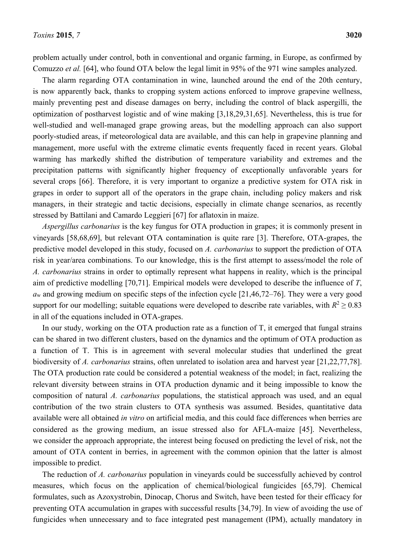problem actually under control, both in conventional and organic farming, in Europe, as confirmed by Comuzzo *et al.* [64], who found OTA below the legal limit in 95% of the 971 wine samples analyzed.

The alarm regarding OTA contamination in wine, launched around the end of the 20th century, is now apparently back, thanks to cropping system actions enforced to improve grapevine wellness, mainly preventing pest and disease damages on berry, including the control of black aspergilli, the optimization of postharvest logistic and of wine making [3,18,29,31,65]. Nevertheless, this is true for well-studied and well-managed grape growing areas, but the modelling approach can also support poorly-studied areas, if meteorological data are available, and this can help in grapevine planning and management, more useful with the extreme climatic events frequently faced in recent years. Global warming has markedly shifted the distribution of temperature variability and extremes and the precipitation patterns with significantly higher frequency of exceptionally unfavorable years for several crops [66]. Therefore, it is very important to organize a predictive system for OTA risk in grapes in order to support all of the operators in the grape chain, including policy makers and risk managers, in their strategic and tactic decisions, especially in climate change scenarios, as recently stressed by Battilani and Camardo Leggieri [67] for aflatoxin in maize.

*Aspergillus carbonarius* is the key fungus for OTA production in grapes; it is commonly present in vineyards [58,68,69], but relevant OTA contamination is quite rare [3]. Therefore, OTA-grapes, the predictive model developed in this study, focused on *A. carbonarius* to support the prediction of OTA risk in year/area combinations. To our knowledge, this is the first attempt to assess/model the role of *A. carbonarius* strains in order to optimally represent what happens in reality, which is the principal aim of predictive modelling [70,71]. Empirical models were developed to describe the influence of *T*, *a*w and growing medium on specific steps of the infection cycle [21,46,72–76]. They were a very good support for our modelling; suitable equations were developed to describe rate variables, with  $R^2 \ge 0.83$ in all of the equations included in OTA-grapes.

In our study, working on the OTA production rate as a function of T, it emerged that fungal strains can be shared in two different clusters, based on the dynamics and the optimum of OTA production as a function of T. This is in agreement with several molecular studies that underlined the great biodiversity of *A. carbonarius* strains, often unrelated to isolation area and harvest year [21,22,77,78]. The OTA production rate could be considered a potential weakness of the model; in fact, realizing the relevant diversity between strains in OTA production dynamic and it being impossible to know the composition of natural *A. carbonarius* populations, the statistical approach was used, and an equal contribution of the two strain clusters to OTA synthesis was assumed. Besides, quantitative data available were all obtained *in vitro* on artificial media, and this could face differences when berries are considered as the growing medium, an issue stressed also for AFLA-maize [45]. Nevertheless, we consider the approach appropriate, the interest being focused on predicting the level of risk, not the amount of OTA content in berries, in agreement with the common opinion that the latter is almost impossible to predict.

The reduction of *A. carbonarius* population in vineyards could be successfully achieved by control measures, which focus on the application of chemical/biological fungicides [65,79]. Chemical formulates, such as Azoxystrobin, Dinocap, Chorus and Switch, have been tested for their efficacy for preventing OTA accumulation in grapes with successful results [34,79]. In view of avoiding the use of fungicides when unnecessary and to face integrated pest management (IPM), actually mandatory in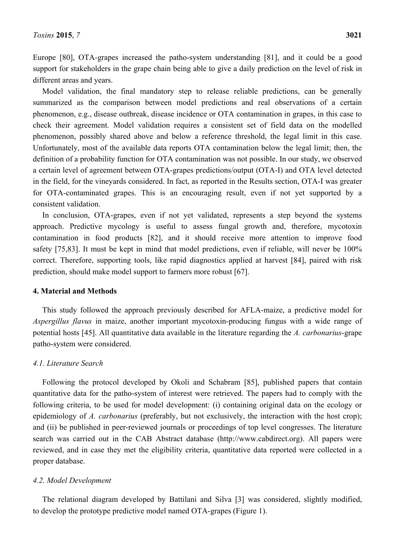Europe [80], OTA-grapes increased the patho-system understanding [81], and it could be a good support for stakeholders in the grape chain being able to give a daily prediction on the level of risk in different areas and years.

Model validation, the final mandatory step to release reliable predictions, can be generally summarized as the comparison between model predictions and real observations of a certain phenomenon, e.g., disease outbreak, disease incidence or OTA contamination in grapes, in this case to check their agreement. Model validation requires a consistent set of field data on the modelled phenomenon, possibly shared above and below a reference threshold, the legal limit in this case. Unfortunately, most of the available data reports OTA contamination below the legal limit; then, the definition of a probability function for OTA contamination was not possible. In our study, we observed a certain level of agreement between OTA-grapes predictions/output (OTA-I) and OTA level detected in the field, for the vineyards considered. In fact, as reported in the Results section, OTA-I was greater for OTA-contaminated grapes. This is an encouraging result, even if not yet supported by a consistent validation.

In conclusion, OTA-grapes, even if not yet validated, represents a step beyond the systems approach. Predictive mycology is useful to assess fungal growth and, therefore, mycotoxin contamination in food products [82], and it should receive more attention to improve food safety [75,83]. It must be kept in mind that model predictions, even if reliable, will never be 100% correct. Therefore, supporting tools, like rapid diagnostics applied at harvest [84], paired with risk prediction, should make model support to farmers more robust [67].

# **4. Material and Methods**

This study followed the approach previously described for AFLA-maize, a predictive model for *Aspergillus flavus* in maize, another important mycotoxin-producing fungus with a wide range of potential hosts [45]. All quantitative data available in the literature regarding the *A. carbonarius*-grape patho-system were considered.

## *4.1. Literature Search*

Following the protocol developed by Okoli and Schabram [85], published papers that contain quantitative data for the patho-system of interest were retrieved. The papers had to comply with the following criteria, to be used for model development: (i) containing original data on the ecology or epidemiology of *A. carbonarius* (preferably, but not exclusively, the interaction with the host crop); and (ii) be published in peer-reviewed journals or proceedings of top level congresses. The literature search was carried out in the CAB Abstract database (http://www.cabdirect.org). All papers were reviewed, and in case they met the eligibility criteria, quantitative data reported were collected in a proper database.

## *4.2. Model Development*

The relational diagram developed by Battilani and Silva [3] was considered, slightly modified, to develop the prototype predictive model named OTA-grapes (Figure 1).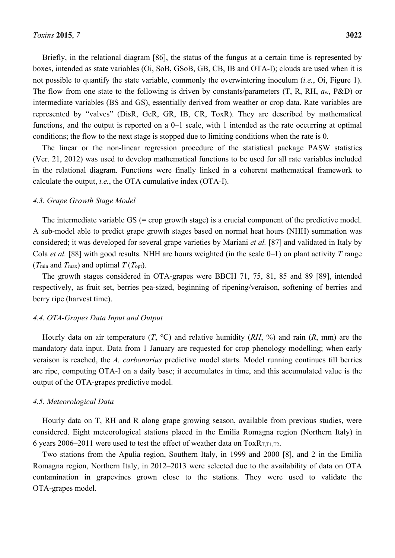Briefly, in the relational diagram [86], the status of the fungus at a certain time is represented by boxes, intended as state variables (Oi, SoB, GSoB, GB, CB, IB and OTA-I); clouds are used when it is not possible to quantify the state variable, commonly the overwintering inoculum (*i.e.*, Oi, Figure 1). The flow from one state to the following is driven by constants/parameters (T, R, RH, *a*w, P&D) or intermediate variables (BS and GS), essentially derived from weather or crop data. Rate variables are represented by "valves" (DisR, GeR, GR, IB, CR, ToxR). They are described by mathematical functions, and the output is reported on a 0–1 scale, with 1 intended as the rate occurring at optimal conditions; the flow to the next stage is stopped due to limiting conditions when the rate is 0.

The linear or the non-linear regression procedure of the statistical package PASW statistics (Ver. 21, 2012) was used to develop mathematical functions to be used for all rate variables included in the relational diagram. Functions were finally linked in a coherent mathematical framework to calculate the output, *i.e.*, the OTA cumulative index (OTA-I).

## *4.3. Grape Growth Stage Model*

The intermediate variable GS (= crop growth stage) is a crucial component of the predictive model. A sub-model able to predict grape growth stages based on normal heat hours (NHH) summation was considered; it was developed for several grape varieties by Mariani *et al.* [87] and validated in Italy by Cola *et al.* [88] with good results. NHH are hours weighted (in the scale 0–1) on plant activity *T* range (*T*<sub>min</sub> and *T*<sub>max</sub>) and optimal *T* (*T*<sub>opt</sub>).

The growth stages considered in OTA-grapes were BBCH 71, 75, 81, 85 and 89 [89], intended respectively, as fruit set, berries pea-sized, beginning of ripening/veraison, softening of berries and berry ripe (harvest time).

#### *4.4. OTA-Grapes Data Input and Output*

Hourly data on air temperature (*T*, °C) and relative humidity (*RH*, %) and rain (*R*, mm) are the mandatory data input. Data from 1 January are requested for crop phenology modelling; when early veraison is reached, the *A. carbonarius* predictive model starts. Model running continues till berries are ripe, computing OTA-I on a daily base; it accumulates in time, and this accumulated value is the output of the OTA-grapes predictive model.

#### *4.5. Meteorological Data*

Hourly data on T, RH and R along grape growing season, available from previous studies, were considered. Eight meteorological stations placed in the Emilia Romagna region (Northern Italy) in 6 years 2006–2011 were used to test the effect of weather data on  $ToxR_{T,T1,T2}$ .

Two stations from the Apulia region, Southern Italy, in 1999 and 2000 [8], and 2 in the Emilia Romagna region, Northern Italy, in 2012–2013 were selected due to the availability of data on OTA contamination in grapevines grown close to the stations. They were used to validate the OTA-grapes model.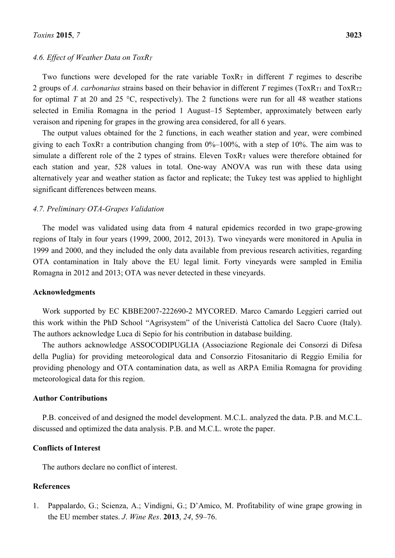## *4.6. Effect of Weather Data on ToxRT*

Two functions were developed for the rate variable  $T_0 \propto R_T$  in different *T* regimes to describe 2 groups of *A. carbonarius* strains based on their behavior in different *T* regimes (ToxR<sub>T1</sub> and ToxR<sub>T2</sub>) for optimal *T* at 20 and 25 °C, respectively). The 2 functions were run for all 48 weather stations selected in Emilia Romagna in the period 1 August–15 September, approximately between early veraison and ripening for grapes in the growing area considered, for all 6 years.

The output values obtained for the 2 functions, in each weather station and year, were combined giving to each ToxR<sub>T</sub> a contribution changing from  $0\%$ –100%, with a step of 10%. The aim was to simulate a different role of the 2 types of strains. Eleven ToxR<sub>T</sub> values were therefore obtained for each station and year, 528 values in total. One-way ANOVA was run with these data using alternatively year and weather station as factor and replicate; the Tukey test was applied to highlight significant differences between means.

## *4.7. Preliminary OTA-Grapes Validation*

The model was validated using data from 4 natural epidemics recorded in two grape-growing regions of Italy in four years (1999, 2000, 2012, 2013). Two vineyards were monitored in Apulia in 1999 and 2000, and they included the only data available from previous research activities, regarding OTA contamination in Italy above the EU legal limit. Forty vineyards were sampled in Emilia Romagna in 2012 and 2013; OTA was never detected in these vineyards.

#### **Acknowledgments**

Work supported by EC KBBE2007-222690-2 MYCORED. Marco Camardo Leggieri carried out this work within the PhD School "Agrisystem" of the Univeristà Cattolica del Sacro Cuore (Italy). The authors acknowledge Luca di Sepio for his contribution in database building.

The authors acknowledge ASSOCODIPUGLIA (Associazione Regionale dei Consorzi di Difesa della Puglia) for providing meteorological data and Consorzio Fitosanitario di Reggio Emilia for providing phenology and OTA contamination data, as well as ARPA Emilia Romagna for providing meteorological data for this region.

## **Author Contributions**

P.B. conceived of and designed the model development. M.C.L. analyzed the data. P.B. and M.C.L. discussed and optimized the data analysis. P.B. and M.C.L. wrote the paper.

# **Conflicts of Interest**

The authors declare no conflict of interest.

## **References**

1. Pappalardo, G.; Scienza, A.; Vindigni, G.; D'Amico, M. Profitability of wine grape growing in the EU member states. *J*. *Wine Res*. **2013**, *24*, 59–76.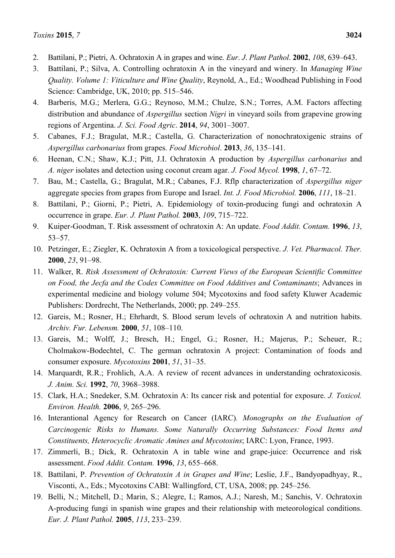- 2. Battilani, P.; Pietri, A. Ochratoxin A in grapes and wine. *Eur*. *J*. *Plant Pathol*. **2002**, *108*, 639–643.
- 3. Battilani, P.; Silva, A. Controlling ochratoxin A in the vineyard and winery. In *Managing Wine Quality. Volume 1: Viticulture and Wine Quality*, Reynold, A., Ed.; Woodhead Publishing in Food Science: Cambridge, UK, 2010; pp. 515–546.
- 4. Barberis, M.G.; Merlera, G.G.; Reynoso, M.M.; Chulze, S.N.; Torres, A.M. Factors affecting distribution and abundance of *Aspergillus* section *Nigri* in vineyard soils from grapevine growing regions of Argentina. *J. Sci. Food Agric*. **2014**, *94*, 3001–3007.
- 5. Cabanes, F.J.; Bragulat, M.R.; Castella, G. Characterization of nonochratoxigenic strains of *Aspergillus carbonarius* from grapes. *Food Microbiol*. **2013**, *36*, 135–141.
- 6. Heenan, C.N.; Shaw, K.J.; Pitt, J.I. Ochratoxin A production by *Aspergillus carbonarius* and *A. niger* isolates and detection using coconut cream agar. *J. Food Mycol.* **1998**, *1*, 67–72.
- 7. Bau, M.; Castella, G.; Bragulat, M.R.; Cabanes, F.J. Rflp characterization of *Aspergillus niger* aggregate species from grapes from Europe and Israel. *Int. J. Food Microbiol.* **2006**, *111*, 18–21.
- 8. Battilani, P.; Giorni, P.; Pietri, A. Epidemiology of toxin-producing fungi and ochratoxin A occurrence in grape. *Eur. J. Plant Pathol.* **2003**, *109*, 715–722.
- 9. Kuiper-Goodman, T. Risk assessment of ochratoxin A: An update. *Food Addit. Contam.* **1996**, *13*, 53–57.
- 10. Petzinger, E.; Ziegler, K. Ochratoxin A from a toxicological perspective. *J. Vet. Pharmacol. Ther.*  **2000**, *23*, 91–98.
- 11. Walker, R. *Risk Assessment of Ochratoxin: Current Views of the European Scientific Committee on Food, the Jecfa and the Codex Committee on Food Additives and Contaminants*; Advances in experimental medicine and biology volume 504; Mycotoxins and food safety Kluwer Academic Publishers: Dordrecht, The Netherlands, 2000; pp. 249–255.
- 12. Gareis, M.; Rosner, H.; Ehrhardt, S. Blood serum levels of ochratoxin A and nutrition habits. *Archiv. Fur. Lebensm.* **2000**, *51*, 108–110.
- 13. Gareis, M.; Wolff, J.; Bresch, H.; Engel, G.; Rosner, H.; Majerus, P.; Scheuer, R.; Cholmakow-Bodechtel, C. The german ochratoxin A project: Contamination of foods and consumer exposure. *Mycotoxins* **2001**, *51*, 31–35.
- 14. Marquardt, R.R.; Frohlich, A.A. A review of recent advances in understanding ochratoxicosis. *J. Anim. Sci.* **1992**, *70*, 3968–3988.
- 15. Clark, H.A.; Snedeker, S.M. Ochratoxin A: Its cancer risk and potential for exposure. *J. Toxicol. Environ. Health.* **2006**, *9*, 265–296.
- 16. Interantional Agency for Research on Cancer (IARC)*. Monographs on the Evaluation of Carcinogenic Risks to Humans. Some Naturally Occurring Substances: Food Items and Constituents, Heterocyclic Aromatic Amines and Mycotoxins*; IARC: Lyon, France, 1993.
- 17. Zimmerli, B.; Dick, R. Ochratoxin A in table wine and grape-juice: Occurrence and risk assessment. *Food Addit. Contam.* **1996**, *13*, 655–668.
- 18. Battilani, P. *Prevention of Ochratoxin A in Grapes and Wine*; Leslie, J.F., Bandyopadhyay, R., Visconti, A., Eds.; Mycotoxins CABI: Wallingford, CT, USA, 2008; pp. 245–256.
- 19. Belli, N.; Mitchell, D.; Marin, S.; Alegre, I.; Ramos, A.J.; Naresh, M.; Sanchis, V. Ochratoxin A-producing fungi in spanish wine grapes and their relationship with meteorological conditions. *Eur. J. Plant Pathol.* **2005**, *113*, 233–239.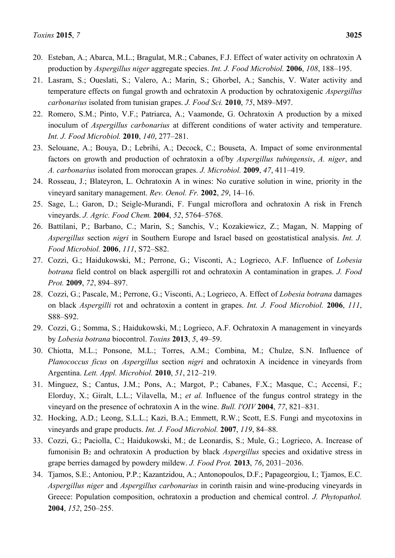- 20. Esteban, A.; Abarca, M.L.; Bragulat, M.R.; Cabanes, F.J. Effect of water activity on ochratoxin A production by *Aspergillus niger* aggregate species. *Int. J. Food Microbiol.* **2006**, *108*, 188–195.
- 21. Lasram, S.; Oueslati, S.; Valero, A.; Marin, S.; Ghorbel, A.; Sanchis, V. Water activity and temperature effects on fungal growth and ochratoxin A production by ochratoxigenic *Aspergillus carbonarius* isolated from tunisian grapes. *J. Food Sci.* **2010**, *75*, M89–M97.
- 22. Romero, S.M.; Pinto, V.F.; Patriarca, A.; Vaamonde, G. Ochratoxin A production by a mixed inoculum of *Aspergillus carbonarius* at different conditions of water activity and temperature. *Int. J. Food Microbiol.* **2010**, *140*, 277–281.
- 23. Selouane, A.; Bouya, D.; Lebrihi, A.; Decock, C.; Bouseta, A. Impact of some environmental factors on growth and production of ochratoxin a of/by *Aspergillus tubingensis*, *A. niger*, and *A. carbonarius* isolated from moroccan grapes. *J. Microbiol.* **2009**, *47*, 411–419.
- 24. Rosseau, J.; Blateyron, L. Ochratoxin A in wines: No curative solution in wine, priority in the vineyard sanitary management. *Rev. Oenol. Fr.* **2002**, *29*, 14–16.
- 25. Sage, L.; Garon, D.; Seigle-Murandi, F. Fungal microflora and ochratoxin A risk in French vineyards. *J. Agric. Food Chem.* **2004**, *52*, 5764–5768.
- 26. Battilani, P.; Barbano, C.; Marin, S.; Sanchis, V.; Kozakiewicz, Z.; Magan, N. Mapping of *Aspergillus* section *nigri* in Southern Europe and Israel based on geostatistical analysis. *Int. J. Food Microbiol.* **2006**, *111*, S72–S82.
- 27. Cozzi, G.; Haidukowski, M.; Perrone, G.; Visconti, A.; Logrieco, A.F. Influence of *Lobesia botrana* field control on black aspergilli rot and ochratoxin A contamination in grapes. *J. Food Prot.* **2009**, *72*, 894–897.
- 28. Cozzi, G.; Pascale, M.; Perrone, G.; Visconti, A.; Logrieco, A. Effect of *Lobesia botrana* damages on black *Aspergilli* rot and ochratoxin a content in grapes. *Int. J. Food Microbiol.* **2006**, *111*, S88–S92.
- 29. Cozzi, G.; Somma, S.; Haidukowski, M.; Logrieco, A.F. Ochratoxin A management in vineyards by *Lobesia botrana* biocontrol. *Toxins* **2013**, *5*, 49–59.
- 30. Chiotta, M.L.; Ponsone, M.L.; Torres, A.M.; Combina, M.; Chulze, S.N. Influence of *Planococcus ficus* on *Aspergillus* section *nigri* and ochratoxin A incidence in vineyards from Argentina. *Lett. Appl. Microbiol.* **2010**, *51*, 212–219.
- 31. Minguez, S.; Cantus, J.M.; Pons, A.; Margot, P.; Cabanes, F.X.; Masque, C.; Accensi, F.; Elorduy, X.; Giralt, L.L.; Vilavella, M.; *et al.* Influence of the fungus control strategy in the vineyard on the presence of ochratoxin A in the wine. *Bull. l'OIV* **2004**, *77*, 821–831.
- 32. Hocking, A.D.; Leong, S.L.L.; Kazi, B.A.; Emmett, R.W.; Scott, E.S. Fungi and mycotoxins in vineyards and grape products. *Int. J. Food Microbiol.* **2007**, *119*, 84–88.
- 33. Cozzi, G.; Paciolla, C.; Haidukowski, M.; de Leonardis, S.; Mule, G.; Logrieco, A. Increase of fumonisin B2 and ochratoxin A production by black *Aspergillus* species and oxidative stress in grape berries damaged by powdery mildew. *J. Food Prot.* **2013**, *76*, 2031–2036.
- 34. Tjamos, S.E.; Antoniou, P.P.; Kazantzidou, A.; Antonopoulos, D.F.; Papageorgiou, I.; Tjamos, E.C. *Aspergillus niger* and *Aspergillus carbonarius* in corinth raisin and wine-producing vineyards in Greece: Population composition, ochratoxin a production and chemical control. *J. Phytopathol.*  **2004**, *152*, 250–255.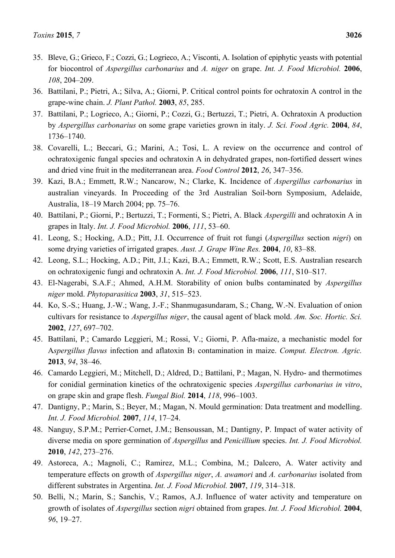- 35. Bleve, G.; Grieco, F.; Cozzi, G.; Logrieco, A.; Visconti, A. Isolation of epiphytic yeasts with potential for biocontrol of *Aspergillus carbonarius* and *A. niger* on grape. *Int. J. Food Microbiol.* **2006**, *108*, 204–209.
- 36. Battilani, P.; Pietri, A.; Silva, A.; Giorni, P. Critical control points for ochratoxin A control in the grape-wine chain. *J. Plant Pathol.* **2003**, *85*, 285.
- 37. Battilani, P.; Logrieco, A.; Giorni, P.; Cozzi, G.; Bertuzzi, T.; Pietri, A. Ochratoxin A production by *Aspergillus carbonarius* on some grape varieties grown in italy. *J. Sci. Food Agric.* **2004**, *84*, 1736–1740.
- 38. Covarelli, L.; Beccari, G.; Marini, A.; Tosi, L. A review on the occurrence and control of ochratoxigenic fungal species and ochratoxin A in dehydrated grapes, non-fortified dessert wines and dried vine fruit in the mediterranean area. *Food Control* **2012**, *26*, 347–356.
- 39. Kazi, B.A.; Emmett, R.W.; Nancarow, N.; Clarke, K. Incidence of *Aspergillus carbonarius* in australian vineyards. In Proceeding of the 3rd Australian Soil-born Symposium, Adelaide, Australia, 18–19 March 2004; pp. 75–76.
- 40. Battilani, P.; Giorni, P.; Bertuzzi, T.; Formenti, S.; Pietri, A. Black *Aspergilli* and ochratoxin A in grapes in Italy. *Int. J. Food Microbiol.* **2006**, *111*, 53–60.
- 41. Leong, S.; Hocking, A.D.; Pitt, J.I. Occurrence of fruit rot fungi (*Aspergillus* section *nigri*) on some drying varieties of irrigated grapes. *Aust. J. Grape Wine Res.* **2004**, *10*, 83–88.
- 42. Leong, S.L.; Hocking, A.D.; Pitt, J.I.; Kazi, B.A.; Emmett, R.W.; Scott, E.S. Australian research on ochratoxigenic fungi and ochratoxin A. *Int. J. Food Microbiol.* **2006**, *111*, S10–S17.
- 43. El-Nagerabi, S.A.F.; Ahmed, A.H.M. Storability of onion bulbs contaminated by *Aspergillus niger* mold. *Phytoparasitica* **2003**, *31*, 515–523.
- 44. Ko, S.-S.; Huang, J.-W.; Wang, J.-F.; Shanmugasundaram, S.; Chang, W.-N. Evaluation of onion cultivars for resistance to *Aspergillus niger*, the causal agent of black mold. *Am. Soc. Hortic. Sci.*  **2002**, *127*, 697–702.
- 45. Battilani, P.; Camardo Leggieri, M.; Rossi, V.; Giorni, P. Afla-maize, a mechanistic model for A*spergillus flavus* infection and aflatoxin B1 contamination in maize. *Comput. Electron. Agric.*  **2013**, *94*, 38–46.
- 46. Camardo Leggieri, M.; Mitchell, D.; Aldred, D.; Battilani, P.; Magan, N. Hydro- and thermotimes for conidial germination kinetics of the ochratoxigenic species *Aspergillus carbonarius in vitro*, on grape skin and grape flesh. *Fungal Biol.* **2014**, *118*, 996–1003.
- 47. Dantigny, P.; Marin, S.; Beyer, M.; Magan, N. Mould germination: Data treatment and modelling. *Int. J. Food Microbiol.* **2007**, *114*, 17–24.
- 48. Nanguy, S.P.M.; Perrier-Cornet, J.M.; Bensoussan, M.; Dantigny, P. Impact of water activity of diverse media on spore germination of *Aspergillus* and *Penicillium* species. *Int. J. Food Microbiol.*  **2010**, *142*, 273–276.
- 49. Astoreca, A.; Magnoli, C.; Ramirez, M.L.; Combina, M.; Dalcero, A. Water activity and temperature effects on growth of *Aspergillus niger*, *A. awamori* and *A. carbonarius* isolated from different substrates in Argentina. *Int. J. Food Microbiol.* **2007**, *119*, 314–318.
- 50. Belli, N.; Marin, S.; Sanchis, V.; Ramos, A.J. Influence of water activity and temperature on growth of isolates of *Aspergillus* section *nigri* obtained from grapes. *Int. J. Food Microbiol.* **2004**, *96*, 19–27.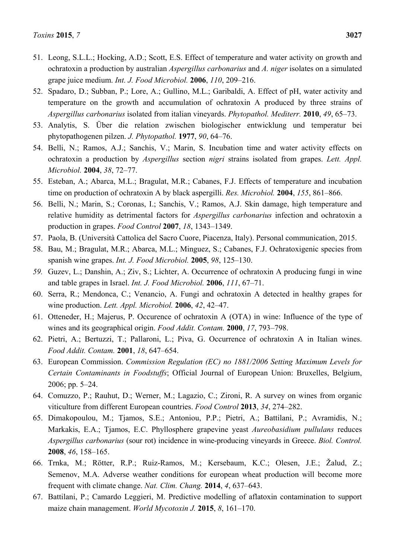- 51. Leong, S.L.L.; Hocking, A.D.; Scott, E.S. Effect of temperature and water activity on growth and ochratoxin a production by australian *Aspergillus carbonarius* and *A. niger* isolates on a simulated grape juice medium. *Int. J. Food Microbiol.* **2006**, *110*, 209–216.
- 52. Spadaro, D.; Subban, P.; Lore, A.; Gullino, M.L.; Garibaldi, A. Effect of pH, water activity and temperature on the growth and accumulation of ochratoxin A produced by three strains of *Aspergillus carbonarius* isolated from italian vineyards. *Phytopathol. Mediterr.* **2010**, *49*, 65–73.
- 53. Analytis, S. Über die relation zwischen biologischer entwicklung und temperatur bei phytopathogenen pilzen. *J. Phytopathol.* **1977**, *90*, 64–76.
- 54. Belli, N.; Ramos, A.J.; Sanchis, V.; Marin, S. Incubation time and water activity effects on ochratoxin a production by *Aspergillus* section *nigri* strains isolated from grapes. *Lett. Appl. Microbiol.* **2004**, *38*, 72–77.
- 55. Esteban, A.; Abarca, M.L.; Bragulat, M.R.; Cabanes, F.J. Effects of temperature and incubation time on production of ochratoxin A by black aspergilli. *Res. Microbiol.* **2004**, *155*, 861–866.
- 56. Belli, N.; Marin, S.; Coronas, I.; Sanchis, V.; Ramos, A.J. Skin damage, high temperature and relative humidity as detrimental factors for *Aspergillus carbonarius* infection and ochratoxin a production in grapes. *Food Control* **2007**, *18*, 1343–1349.
- 57. Paola, B. (Università Cattolica del Sacro Cuore, Piacenza, Italy). Personal communication, 2015.
- 58. Bau, M.; Bragulat, M.R.; Abarca, M.L.; Minguez, S.; Cabanes, F.J. Ochratoxigenic species from spanish wine grapes. *Int. J. Food Microbiol.* **2005**, *98*, 125–130.
- *59.* Guzev, L.; Danshin, A.; Ziv, S.; Lichter, A. Occurrence of ochratoxin A producing fungi in wine and table grapes in Israel. *Int. J. Food Microbiol.* **2006**, *111*, 67–71.
- 60. Serra, R.; Mendonca, C.; Venancio, A. Fungi and ochratoxin A detected in healthy grapes for wine production. *Lett. Appl. Microbiol.* **2006**, *42*, 42–47.
- 61. Otteneder, H.; Majerus, P. Occurence of ochratoxin A (OTA) in wine: Influence of the type of wines and its geographical origin. *Food Addit. Contam.* **2000**, *17*, 793–798.
- 62. Pietri, A.; Bertuzzi, T.; Pallaroni, L.; Piva, G. Occurrence of ochratoxin A in Italian wines. *Food Addit. Contam.* **2001**, *18*, 647–654.
- 63. European Commission. *Commission Regulation (EC) no 1881/2006 Setting Maximum Levels for Certain Contaminants in Foodstuffs*; Official Journal of European Union: Bruxelles, Belgium, 2006; pp. 5–24.
- 64. Comuzzo, P.; Rauhut, D.; Werner, M.; Lagazio, C.; Zironi, R. A survey on wines from organic viticulture from different European countries. *Food Control* **2013**, *34*, 274–282.
- 65. Dimakopoulou, M.; Tjamos, S.E.; Antoniou, P.P.; Pietri, A.; Battilani, P.; Avramidis, N.; Markakis, E.A.; Tjamos, E.C. Phyllosphere grapevine yeast *Aureobasidium pullulans* reduces *Aspergillus carbonarius* (sour rot) incidence in wine-producing vineyards in Greece. *Biol. Control.*  **2008**, *46*, 158–165.
- 66. Trnka, M.; Rötter, R.P.; Ruiz-Ramos, M.; Kersebaum, K.C.; Olesen, J.E.; Žalud, Z.; Semenov, M.A. Adverse weather conditions for european wheat production will become more frequent with climate change. *Nat. Clim. Chang.* **2014**, *4*, 637–643.
- 67. Battilani, P.; Camardo Leggieri, M. Predictive modelling of aflatoxin contamination to support maize chain management. *World Mycotoxin J.* **2015**, *8*, 161–170.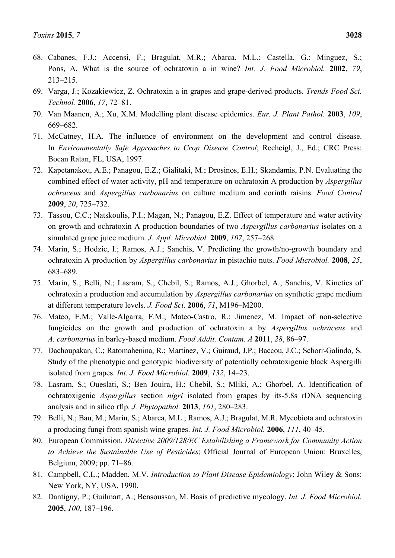- 68. Cabanes, F.J.; Accensi, F.; Bragulat, M.R.; Abarca, M.L.; Castella, G.; Minguez, S.; Pons, A. What is the source of ochratoxin a in wine? *Int. J. Food Microbiol.* **2002**, *79*, 213–215.
- 69. Varga, J.; Kozakiewicz, Z. Ochratoxin a in grapes and grape-derived products. *Trends Food Sci. Technol.* **2006**, *17*, 72–81.
- 70. Van Maanen, A.; Xu, X.M. Modelling plant disease epidemics. *Eur. J. Plant Pathol.* **2003**, *109*, 669–682.
- 71. McCatney, H.A. The influence of environment on the development and control disease. In *Environmentally Safe Approaches to Crop Disease Control*; Rechcigl, J., Ed.; CRC Press: Bocan Ratan, FL, USA, 1997.
- 72. Kapetanakou, A.E.; Panagou, E.Z.; Gialitaki, M.; Drosinos, E.H.; Skandamis, P.N. Evaluating the combined effect of water activity, pH and temperature on ochratoxin A production by *Aspergillus ochraceus* and *Aspergillus carbonarius* on culture medium and corinth raisins. *Food Control*  **2009**, *20*, 725–732.
- 73. Tassou, C.C.; Natskoulis, P.I.; Magan, N.; Panagou, E.Z. Effect of temperature and water activity on growth and ochratoxin A production boundaries of two *Aspergillus carbonarius* isolates on a simulated grape juice medium. *J. Appl. Microbiol.* **2009**, *107*, 257–268.
- 74. Marin, S.; Hodzic, I.; Ramos, A.J.; Sanchis, V. Predicting the growth/no-growth boundary and ochratoxin A production by *Aspergillus carbonarius* in pistachio nuts. *Food Microbiol.* **2008**, *25*, 683–689.
- 75. Marin, S.; Belli, N.; Lasram, S.; Chebil, S.; Ramos, A.J.; Ghorbel, A.; Sanchis, V. Kinetics of ochratoxin a production and accumulation by *Aspergillus carbonarius* on synthetic grape medium at different temperature levels. *J. Food Sci.* **2006**, *71*, M196–M200.
- 76. Mateo, E.M.; Valle-Algarra, F.M.; Mateo-Castro, R.; Jimenez, M. Impact of non-selective fungicides on the growth and production of ochratoxin a by *Aspergillus ochraceus* and *A. carbonarius* in barley-based medium. *Food Addit. Contam. A* **2011**, *28*, 86–97.
- 77. Dachoupakan, C.; Ratomahenina, R.; Martinez, V.; Guiraud, J.P.; Baccou, J.C.; Schorr-Galindo, S. Study of the phenotypic and genotypic biodiversity of potentially ochratoxigenic black Aspergilli isolated from grapes. *Int. J. Food Microbiol.* **2009**, *132*, 14–23.
- 78. Lasram, S.; Oueslati, S.; Ben Jouira, H.; Chebil, S.; Mliki, A.; Ghorbel, A. Identification of ochratoxigenic *Aspergillus* section *nigri* isolated from grapes by its-5.8s rDNA sequencing analysis and in silico rflp. *J. Phytopathol.* **2013**, *161*, 280–283.
- 79. Belli, N.; Bau, M.; Marin, S.; Abarca, M.L.; Ramos, A.J.; Bragulat, M.R. Mycobiota and ochratoxin a producing fungi from spanish wine grapes. *Int. J. Food Microbiol.* **2006**, *111*, 40–45.
- 80. European Commission. *Directive 2009/128/EC Estabilishing a Framework for Community Action to Achieve the Sustainable Use of Pesticides*; Official Journal of European Union: Bruxelles, Belgium, 2009; pp. 71–86.
- 81. Campbell, C.L.; Madden, M.V. *Introduction to Plant Disease Epidemiology*; John Wiley & Sons: New York, NY, USA, 1990.
- 82. Dantigny, P.; Guilmart, A.; Bensoussan, M. Basis of predictive mycology. *Int. J. Food Microbiol.*  **2005**, *100*, 187–196.